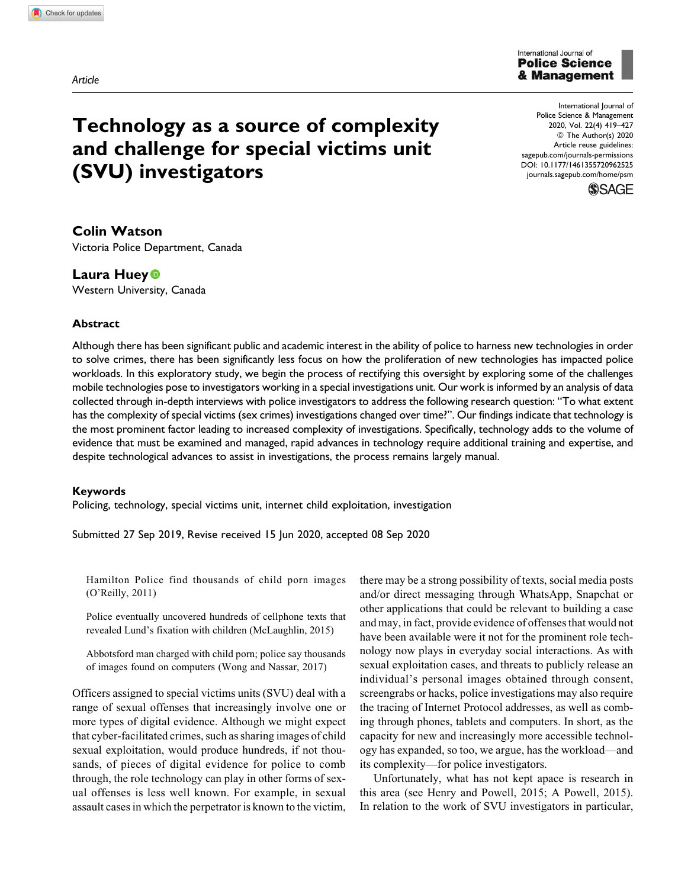

# **Technology as a source of complexity and challenge for special victims unit (SVU) investigators**

International Journal of Police Science & Management 2020, Vol. 22(4) 419–427 © The Author(s) 2020 Article reuse guidelines: [sagepub.com/journals-permissions](https://sagepub.com/journals-permissions) [DOI: 10.1177/1461355720962525](https://doi.org/10.1177/1461355720962525) [journals.sagepub.com/home/psm](http://journals.sagepub.com/home/psm)



# **Colin Watson**

Victoria Police Department, Canada

#### **Laura Huey**

Western University, Canada

# **Abstract**

Although there has been significant public and academic interest in the ability of police to harness new technologies in order to solve crimes, there has been significantly less focus on how the proliferation of new technologies has impacted police workloads. In this exploratory study, we begin the process of rectifying this oversight by exploring some of the challenges mobile technologies pose to investigators working in a special investigations unit. Our work is informed by an analysis of data collected through in-depth interviews with police investigators to address the following research question: "To what extent has the complexity of special victims (sex crimes) investigations changed over time?". Our findings indicate that technology is the most prominent factor leading to increased complexity of investigations. Specifically, technology adds to the volume of evidence that must be examined and managed, rapid advances in technology require additional training and expertise, and despite technological advances to assist in investigations, the process remains largely manual.

#### **Keywords**

Policing, technology, special victims unit, internet child exploitation, investigation

Submitted 27 Sep 2019, Revise received 15 Jun 2020, accepted 08 Sep 2020

Hamilton Police find thousands of child porn images (O'Reilly, 2011)

Police eventually uncovered hundreds of cellphone texts that revealed Lund's fixation with children (McLaughlin, 2015)

Abbotsford man charged with child porn; police say thousands of images found on computers (Wong and Nassar, 2017)

Officers assigned to special victims units (SVU) deal with a range of sexual offenses that increasingly involve one or more types of digital evidence. Although we might expect that cyber-facilitated crimes, such as sharing images of child sexual exploitation, would produce hundreds, if not thousands, of pieces of digital evidence for police to comb through, the role technology can play in other forms of sexual offenses is less well known. For example, in sexual assault cases in which the perpetrator is known to the victim,

there may be a strong possibility of texts, social media posts and/or direct messaging through WhatsApp, Snapchat or other applications that could be relevant to building a case and may, in fact, provide evidence of offenses that would not have been available were it not for the prominent role technology now plays in everyday social interactions. As with sexual exploitation cases, and threats to publicly release an individual's personal images obtained through consent, screengrabs or hacks, police investigations may also require the tracing of Internet Protocol addresses, as well as combing through phones, tablets and computers. In short, as the capacity for new and increasingly more accessible technology has expanded, so too, we argue, has the workload—and its complexity—for police investigators.

Unfortunately, what has not kept apace is research in this area (see Henry and Powell, 2015; A Powell, 2015). In relation to the work of SVU investigators in particular,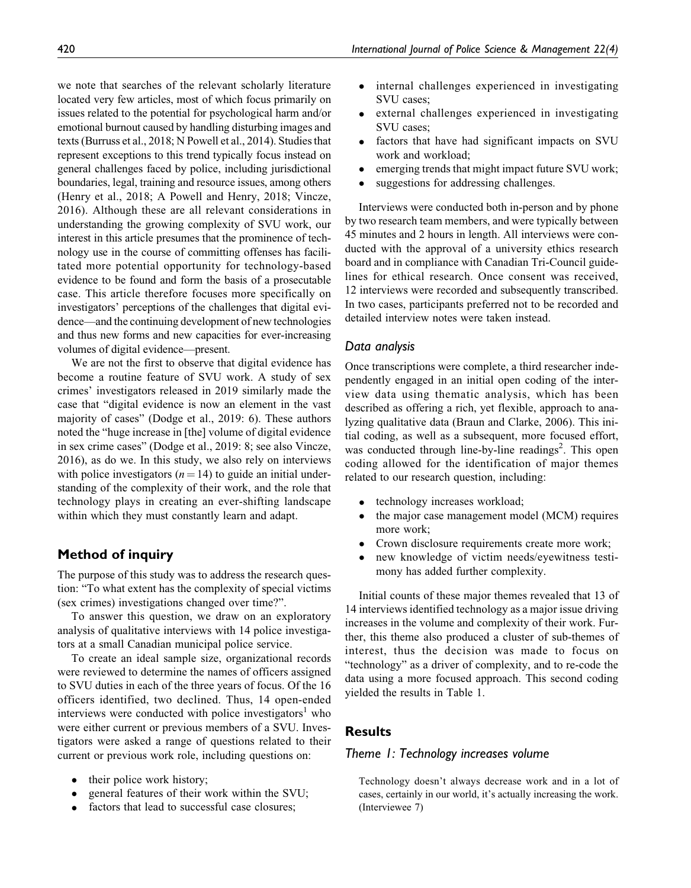we note that searches of the relevant scholarly literature located very few articles, most of which focus primarily on issues related to the potential for psychological harm and/or emotional burnout caused by handling disturbing images and texts (Burruss et al., 2018; N Powell et al., 2014). Studies that represent exceptions to this trend typically focus instead on general challenges faced by police, including jurisdictional boundaries, legal, training and resource issues, among others (Henry et al., 2018; A Powell and Henry, 2018; Vincze, 2016). Although these are all relevant considerations in understanding the growing complexity of SVU work, our interest in this article presumes that the prominence of technology use in the course of committing offenses has facilitated more potential opportunity for technology-based evidence to be found and form the basis of a prosecutable case. This article therefore focuses more specifically on investigators' perceptions of the challenges that digital evidence—and the continuing development of new technologies and thus new forms and new capacities for ever-increasing volumes of digital evidence—present.

We are not the first to observe that digital evidence has become a routine feature of SVU work. A study of sex crimes' investigators released in 2019 similarly made the case that "digital evidence is now an element in the vast majority of cases" (Dodge et al., 2019: 6). These authors noted the "huge increase in [the] volume of digital evidence in sex crime cases" (Dodge et al., 2019: 8; see also Vincze, 2016), as do we. In this study, we also rely on interviews with police investigators ( $n=14$ ) to guide an initial understanding of the complexity of their work, and the role that technology plays in creating an ever-shifting landscape within which they must constantly learn and adapt.

# **Method of inquiry**

The purpose of this study was to address the research question: "To what extent has the complexity of special victims (sex crimes) investigations changed over time?".

To answer this question, we draw on an exploratory analysis of qualitative interviews with 14 police investigators at a small Canadian municipal police service.

To create an ideal sample size, organizational records were reviewed to determine the names of officers assigned to SVU duties in each of the three years of focus. Of the 16 officers identified, two declined. Thus, 14 open-ended interviews were conducted with police investigators<sup>1</sup> who were either current or previous members of a SVU. Investigators were asked a range of questions related to their current or previous work role, including questions on:

- $\bullet$ their police work history;
- $\bullet$ general features of their work within the SVU;
- $\bullet$ factors that lead to successful case closures;
- $\bullet$  internal challenges experienced in investigating SVU cases;
- $\bullet$  external challenges experienced in investigating SVU cases;
- $\bullet$  factors that have had significant impacts on SVU work and workload;
- $\bullet$ emerging trends that might impact future SVU work;
- $\bullet$ suggestions for addressing challenges.

Interviews were conducted both in-person and by phone by two research team members, and were typically between 45 minutes and 2 hours in length. All interviews were conducted with the approval of a university ethics research board and in compliance with Canadian Tri-Council guidelines for ethical research. Once consent was received, 12 interviews were recorded and subsequently transcribed. In two cases, participants preferred not to be recorded and detailed interview notes were taken instead.

#### *Data analysis*

Once transcriptions were complete, a third researcher independently engaged in an initial open coding of the interview data using thematic analysis, which has been described as offering a rich, yet flexible, approach to analyzing qualitative data (Braun and Clarke, 2006). This initial coding, as well as a subsequent, more focused effort, was conducted through line-by-line readings<sup>2</sup>. This open coding allowed for the identification of major themes related to our research question, including:

- $\bullet$ technology increases workload;
- $\bullet$  the major case management model (MCM) requires more work;
- $\bullet$ Crown disclosure requirements create more work;
- $\bullet$  new knowledge of victim needs/eyewitness testimony has added further complexity.

Initial counts of these major themes revealed that 13 of 14 interviews identified technology as a major issue driving increases in the volume and complexity of their work. Further, this theme also produced a cluster of sub-themes of interest, thus the decision was made to focus on "technology" as a driver of complexity, and to re-code the data using a more focused approach. This second coding yielded the results in Table 1.

## **Results**

#### *Theme 1: Technology increases volume*

Technology doesn't always decrease work and in a lot of cases, certainly in our world, it's actually increasing the work. (Interviewee 7)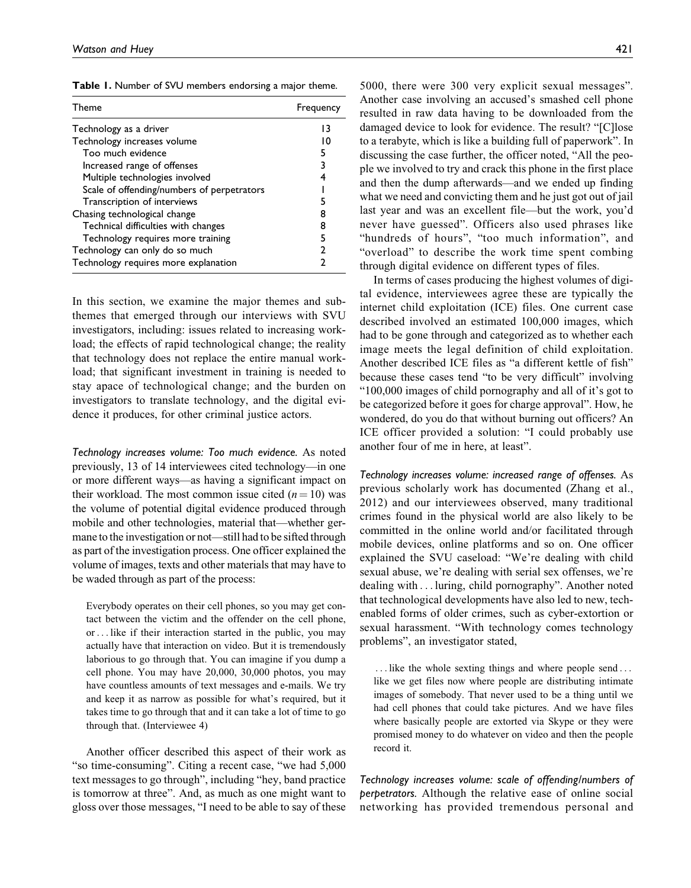|  |  |  |  |  |  | <b>Table 1.</b> Number of SVU members endorsing a major theme. |  |  |  |  |  |
|--|--|--|--|--|--|----------------------------------------------------------------|--|--|--|--|--|
|--|--|--|--|--|--|----------------------------------------------------------------|--|--|--|--|--|

| Theme                                      | Frequency |
|--------------------------------------------|-----------|
| Technology as a driver                     | 13        |
| Technology increases volume                | ı٥        |
| Too much evidence                          | 5         |
| Increased range of offenses                | 3         |
| Multiple technologies involved             |           |
| Scale of offending/numbers of perpetrators |           |
| Transcription of interviews                | 5         |
| Chasing technological change               |           |
| Technical difficulties with changes        | 8         |
| Technology requires more training          | 5         |
| Technology can only do so much             | 2         |
| Technology requires more explanation       |           |

In this section, we examine the major themes and subthemes that emerged through our interviews with SVU investigators, including: issues related to increasing workload; the effects of rapid technological change; the reality that technology does not replace the entire manual workload; that significant investment in training is needed to stay apace of technological change; and the burden on investigators to translate technology, and the digital evidence it produces, for other criminal justice actors.

*Technology increases volume: Too much evidence.* As noted previously, 13 of 14 interviewees cited technology—in one or more different ways—as having a significant impact on their workload. The most common issue cited  $(n=10)$  was the volume of potential digital evidence produced through mobile and other technologies, material that—whether germane to the investigation or not—still had to be sifted through as part of the investigation process. One officer explained the volume of images, texts and other materials that may have to be waded through as part of the process:

Everybody operates on their cell phones, so you may get contact between the victim and the offender on the cell phone, or ... like if their interaction started in the public, you may actually have that interaction on video. But it is tremendously laborious to go through that. You can imagine if you dump a cell phone. You may have 20,000, 30,000 photos, you may have countless amounts of text messages and e-mails. We try and keep it as narrow as possible for what's required, but it takes time to go through that and it can take a lot of time to go through that. (Interviewee 4)

Another officer described this aspect of their work as "so time-consuming". Citing a recent case, "we had 5,000 text messages to go through", including "hey, band practice is tomorrow at three". And, as much as one might want to gloss over those messages, "I need to be able to say of these 5000, there were 300 very explicit sexual messages". Another case involving an accused's smashed cell phone resulted in raw data having to be downloaded from the damaged device to look for evidence. The result? "[C]lose to a terabyte, which is like a building full of paperwork". In discussing the case further, the officer noted, "All the people we involved to try and crack this phone in the first place and then the dump afterwards—and we ended up finding what we need and convicting them and he just got out of jail last year and was an excellent file—but the work, you'd never have guessed". Officers also used phrases like "hundreds of hours", "too much information", and "overload" to describe the work time spent combing through digital evidence on different types of files.

In terms of cases producing the highest volumes of digital evidence, interviewees agree these are typically the internet child exploitation (ICE) files. One current case described involved an estimated 100,000 images, which had to be gone through and categorized as to whether each image meets the legal definition of child exploitation. Another described ICE files as "a different kettle of fish" because these cases tend "to be very difficult" involving "100,000 images of child pornography and all of it's got to be categorized before it goes for charge approval". How, he wondered, do you do that without burning out officers? An ICE officer provided a solution: "I could probably use another four of me in here, at least".

*Technology increases volume: increased range of offenses.* As previous scholarly work has documented (Zhang et al., 2012) and our interviewees observed, many traditional crimes found in the physical world are also likely to be committed in the online world and/or facilitated through mobile devices, online platforms and so on. One officer explained the SVU caseload: "We're dealing with child sexual abuse, we're dealing with serial sex offenses, we're dealing with ... luring, child pornography". Another noted that technological developments have also led to new, techenabled forms of older crimes, such as cyber-extortion or sexual harassment. "With technology comes technology problems", an investigator stated,

... like the whole sexting things and where people send ... like we get files now where people are distributing intimate images of somebody. That never used to be a thing until we had cell phones that could take pictures. And we have files where basically people are extorted via Skype or they were promised money to do whatever on video and then the people record it.

*Technology increases volume: scale of offending/numbers of perpetrators.* Although the relative ease of online social networking has provided tremendous personal and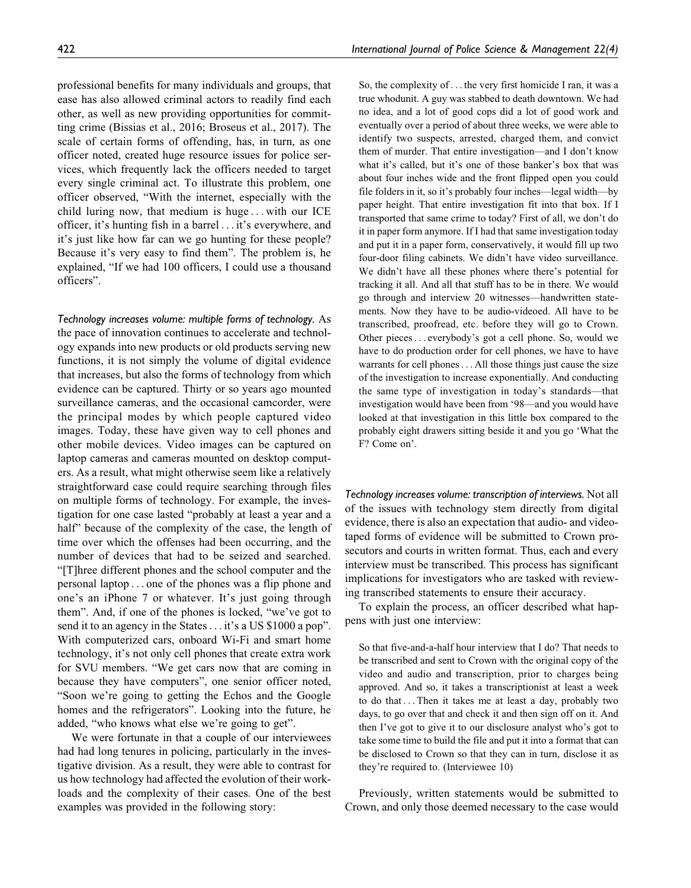professional benefits for many individuals and groups, that ease has also allowed criminal actors to readily find each other, as well as new providing opportunities for committing crime (Bissias et al., 2016; Broseus et al., 2017). The scale of certain forms of offending, has, in turn, as one officer noted, created huge resource issues for police services, which frequently lack the officers needed to target every single criminal act. To illustrate this problem, one officer observed, "With the internet, especially with the child luring now, that medium is huge ... with our ICE officer, it's hunting fish in a barrel ... it's everywhere, and it's just like how far can we go hunting for these people? Because it's very easy to find them". The problem is, he explained, "If we had 100 officers, I could use a thousand officers".

*Technology increases volume: multiple forms of technology.* As the pace of innovation continues to accelerate and technology expands into new products or old products serving new functions, it is not simply the volume of digital evidence that increases, but also the forms of technology from which evidence can be captured. Thirty or so years ago mounted surveillance cameras, and the occasional camcorder, were the principal modes by which people captured video images. Today, these have given way to cell phones and other mobile devices. Video images can be captured on laptop cameras and cameras mounted on desktop computers. As a result, what might otherwise seem like a relatively straightforward case could require searching through files on multiple forms of technology. For example, the investigation for one case lasted "probably at least a year and a half" because of the complexity of the case, the length of time over which the offenses had been occurring, and the number of devices that had to be seized and searched. "[T]hree different phones and the school computer and the personal laptop ... one of the phones was a flip phone and one's an iPhone 7 or whatever. It's just going through them". And, if one of the phones is locked, "we've got to send it to an agency in the States . . . it's a US \$1000 a pop". With computerized cars, onboard Wi-Fi and smart home technology, it's not only cell phones that create extra work for SVU members. "We get cars now that are coming in because they have computers", one senior officer noted, "Soon we're going to getting the Echos and the Google homes and the refrigerators". Looking into the future, he added, "who knows what else we're going to get".

We were fortunate in that a couple of our interviewees had had long tenures in policing, particularly in the investigative division. As a result, they were able to contrast for us how technology had affected the evolution of their workloads and the complexity of their cases. One of the best examples was provided in the following story:

So, the complexity of... the very first homicide I ran, it was a true whodunit. A guy was stabbed to death downtown. We had no idea, and a lot of good cops did a lot of good work and eventually over a period of about three weeks, we were able to identify two suspects, arrested, charged them, and convict them of murder. That entire investigation—and I don't know what it's called, but it's one of those banker's box that was about four inches wide and the front flipped open you could file folders in it, so it's probably four inches—legal width—by paper height. That entire investigation fit into that box. If I transported that same crime to today? First of all, we don't do it in paper form anymore. If I had that same investigation today and put it in a paper form, conservatively, it would fill up two four-door filing cabinets. We didn't have video surveillance. We didn't have all these phones where there's potential for tracking it all. And all that stuff has to be in there. We would go through and interview 20 witnesses—handwritten statements. Now they have to be audio-videoed. All have to be transcribed, proofread, etc. before they will go to Crown. Other pieces... everybody's got a cell phone. So, would we have to do production order for cell phones, we have to have warrants for cell phones... All those things just cause the size of the investigation to increase exponentially. And conducting the same type of investigation in today's standards—that investigation would have been from '98—and you would have looked at that investigation in this little box compared to the probably eight drawers sitting beside it and you go 'What the F? Come on'.

*Technology increases volume: transcription of interviews.* Not all of the issues with technology stem directly from digital evidence, there is also an expectation that audio- and videotaped forms of evidence will be submitted to Crown prosecutors and courts in written format. Thus, each and every interview must be transcribed. This process has significant implications for investigators who are tasked with reviewing transcribed statements to ensure their accuracy.

To explain the process, an officer described what happens with just one interview:

So that five-and-a-half hour interview that I do? That needs to be transcribed and sent to Crown with the original copy of the video and audio and transcription, prior to charges being approved. And so, it takes a transcriptionist at least a week to do that ... Then it takes me at least a day, probably two days, to go over that and check it and then sign off on it. And then I've got to give it to our disclosure analyst who's got to take some time to build the file and put it into a format that can be disclosed to Crown so that they can in turn, disclose it as they're required to. (Interviewee 10)

Previously, written statements would be submitted to Crown, and only those deemed necessary to the case would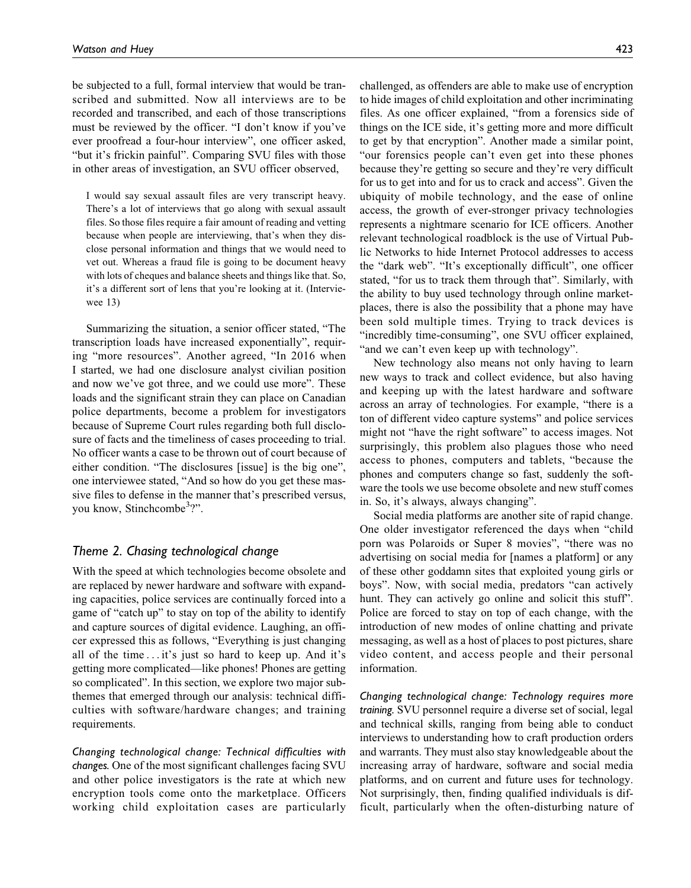be subjected to a full, formal interview that would be transcribed and submitted. Now all interviews are to be recorded and transcribed, and each of those transcriptions must be reviewed by the officer. "I don't know if you've ever proofread a four-hour interview", one officer asked, "but it's frickin painful". Comparing SVU files with those in other areas of investigation, an SVU officer observed,

I would say sexual assault files are very transcript heavy. There's a lot of interviews that go along with sexual assault files. So those files require a fair amount of reading and vetting because when people are interviewing, that's when they disclose personal information and things that we would need to vet out. Whereas a fraud file is going to be document heavy with lots of cheques and balance sheets and things like that. So, it's a different sort of lens that you're looking at it. (Interviewee 13)

Summarizing the situation, a senior officer stated, "The transcription loads have increased exponentially", requiring "more resources". Another agreed, "In 2016 when I started, we had one disclosure analyst civilian position and now we've got three, and we could use more". These loads and the significant strain they can place on Canadian police departments, become a problem for investigators because of Supreme Court rules regarding both full disclosure of facts and the timeliness of cases proceeding to trial. No officer wants a case to be thrown out of court because of either condition. "The disclosures [issue] is the big one", one interviewee stated, "And so how do you get these massive files to defense in the manner that's prescribed versus, you know, Stinchcombe<sup>3</sup>?".

# *Theme 2. Chasing technological change*

With the speed at which technologies become obsolete and are replaced by newer hardware and software with expanding capacities, police services are continually forced into a game of "catch up" to stay on top of the ability to identify and capture sources of digital evidence. Laughing, an officer expressed this as follows, "Everything is just changing all of the time ... it's just so hard to keep up. And it's getting more complicated—like phones! Phones are getting so complicated". In this section, we explore two major subthemes that emerged through our analysis: technical difficulties with software/hardware changes; and training requirements.

*Changing technological change: Technical difficulties with changes.* One of the most significant challenges facing SVU and other police investigators is the rate at which new encryption tools come onto the marketplace. Officers working child exploitation cases are particularly

challenged, as offenders are able to make use of encryption to hide images of child exploitation and other incriminating files. As one officer explained, "from a forensics side of things on the ICE side, it's getting more and more difficult to get by that encryption". Another made a similar point, "our forensics people can't even get into these phones because they're getting so secure and they're very difficult for us to get into and for us to crack and access". Given the ubiquity of mobile technology, and the ease of online access, the growth of ever-stronger privacy technologies represents a nightmare scenario for ICE officers. Another relevant technological roadblock is the use of Virtual Public Networks to hide Internet Protocol addresses to access the "dark web". "It's exceptionally difficult", one officer stated, "for us to track them through that". Similarly, with the ability to buy used technology through online marketplaces, there is also the possibility that a phone may have been sold multiple times. Trying to track devices is "incredibly time-consuming", one SVU officer explained, "and we can't even keep up with technology".

New technology also means not only having to learn new ways to track and collect evidence, but also having and keeping up with the latest hardware and software across an array of technologies. For example, "there is a ton of different video capture systems" and police services might not "have the right software" to access images. Not surprisingly, this problem also plagues those who need access to phones, computers and tablets, "because the phones and computers change so fast, suddenly the software the tools we use become obsolete and new stuff comes in. So, it's always, always changing".

Social media platforms are another site of rapid change. One older investigator referenced the days when "child porn was Polaroids or Super 8 movies", "there was no advertising on social media for [names a platform] or any of these other goddamn sites that exploited young girls or boys". Now, with social media, predators "can actively hunt. They can actively go online and solicit this stuff". Police are forced to stay on top of each change, with the introduction of new modes of online chatting and private messaging, as well as a host of places to post pictures, share video content, and access people and their personal information.

*Changing technological change: Technology requires more training.* SVU personnel require a diverse set of social, legal and technical skills, ranging from being able to conduct interviews to understanding how to craft production orders and warrants. They must also stay knowledgeable about the increasing array of hardware, software and social media platforms, and on current and future uses for technology. Not surprisingly, then, finding qualified individuals is difficult, particularly when the often-disturbing nature of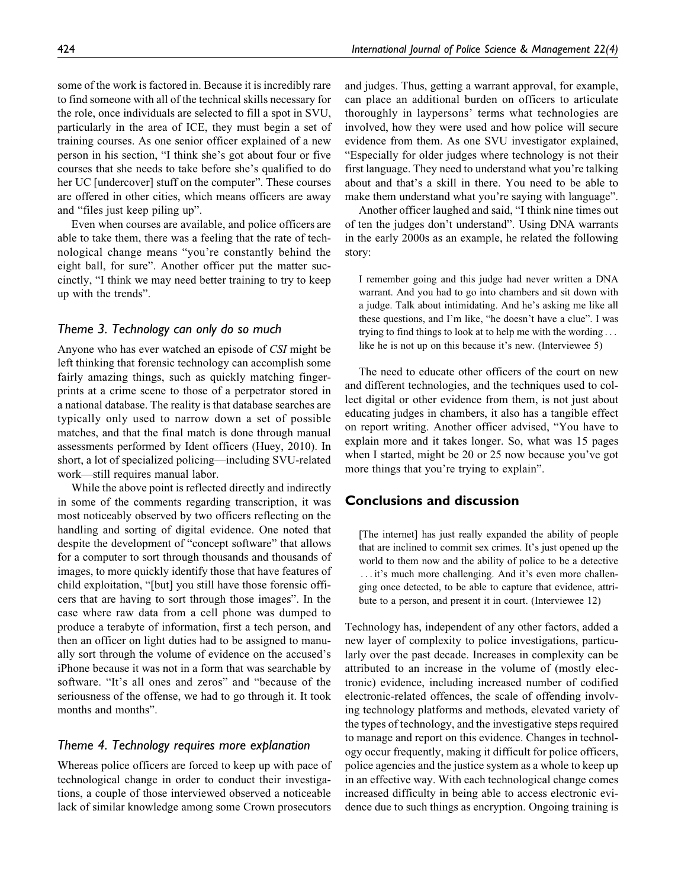some of the work is factored in. Because it is incredibly rare to find someone with all of the technical skills necessary for the role, once individuals are selected to fill a spot in SVU, particularly in the area of ICE, they must begin a set of training courses. As one senior officer explained of a new person in his section, "I think she's got about four or five courses that she needs to take before she's qualified to do her UC [undercover] stuff on the computer". These courses are offered in other cities, which means officers are away and "files just keep piling up".

Even when courses are available, and police officers are able to take them, there was a feeling that the rate of technological change means "you're constantly behind the eight ball, for sure". Another officer put the matter succinctly, "I think we may need better training to try to keep up with the trends".

## *Theme 3. Technology can only do so much*

Anyone who has ever watched an episode of CSI might be left thinking that forensic technology can accomplish some fairly amazing things, such as quickly matching fingerprints at a crime scene to those of a perpetrator stored in a national database. The reality is that database searches are typically only used to narrow down a set of possible matches, and that the final match is done through manual assessments performed by Ident officers (Huey, 2010). In short, a lot of specialized policing—including SVU-related work—still requires manual labor.

While the above point is reflected directly and indirectly in some of the comments regarding transcription, it was most noticeably observed by two officers reflecting on the handling and sorting of digital evidence. One noted that despite the development of "concept software" that allows for a computer to sort through thousands and thousands of images, to more quickly identify those that have features of child exploitation, "[but] you still have those forensic officers that are having to sort through those images". In the case where raw data from a cell phone was dumped to produce a terabyte of information, first a tech person, and then an officer on light duties had to be assigned to manually sort through the volume of evidence on the accused's iPhone because it was not in a form that was searchable by software. "It's all ones and zeros" and "because of the seriousness of the offense, we had to go through it. It took months and months".

## *Theme 4. Technology requires more explanation*

Whereas police officers are forced to keep up with pace of technological change in order to conduct their investigations, a couple of those interviewed observed a noticeable lack of similar knowledge among some Crown prosecutors

and judges. Thus, getting a warrant approval, for example, can place an additional burden on officers to articulate thoroughly in laypersons' terms what technologies are involved, how they were used and how police will secure evidence from them. As one SVU investigator explained, "Especially for older judges where technology is not their first language. They need to understand what you're talking about and that's a skill in there. You need to be able to make them understand what you're saying with language".

Another officer laughed and said, "I think nine times out of ten the judges don't understand". Using DNA warrants in the early 2000s as an example, he related the following story:

I remember going and this judge had never written a DNA warrant. And you had to go into chambers and sit down with a judge. Talk about intimidating. And he's asking me like all these questions, and I'm like, "he doesn't have a clue". I was trying to find things to look at to help me with the wording ... like he is not up on this because it's new. (Interviewee 5)

The need to educate other officers of the court on new and different technologies, and the techniques used to collect digital or other evidence from them, is not just about educating judges in chambers, it also has a tangible effect on report writing. Another officer advised, "You have to explain more and it takes longer. So, what was 15 pages when I started, might be 20 or 25 now because you've got more things that you're trying to explain".

## **Conclusions and discussion**

[The internet] has just really expanded the ability of people that are inclined to commit sex crimes. It's just opened up the world to them now and the ability of police to be a detective ... it's much more challenging. And it's even more challenging once detected, to be able to capture that evidence, attribute to a person, and present it in court. (Interviewee 12)

Technology has, independent of any other factors, added a new layer of complexity to police investigations, particularly over the past decade. Increases in complexity can be attributed to an increase in the volume of (mostly electronic) evidence, including increased number of codified electronic-related offences, the scale of offending involving technology platforms and methods, elevated variety of the types of technology, and the investigative steps required to manage and report on this evidence. Changes in technology occur frequently, making it difficult for police officers, police agencies and the justice system as a whole to keep up in an effective way. With each technological change comes increased difficulty in being able to access electronic evidence due to such things as encryption. Ongoing training is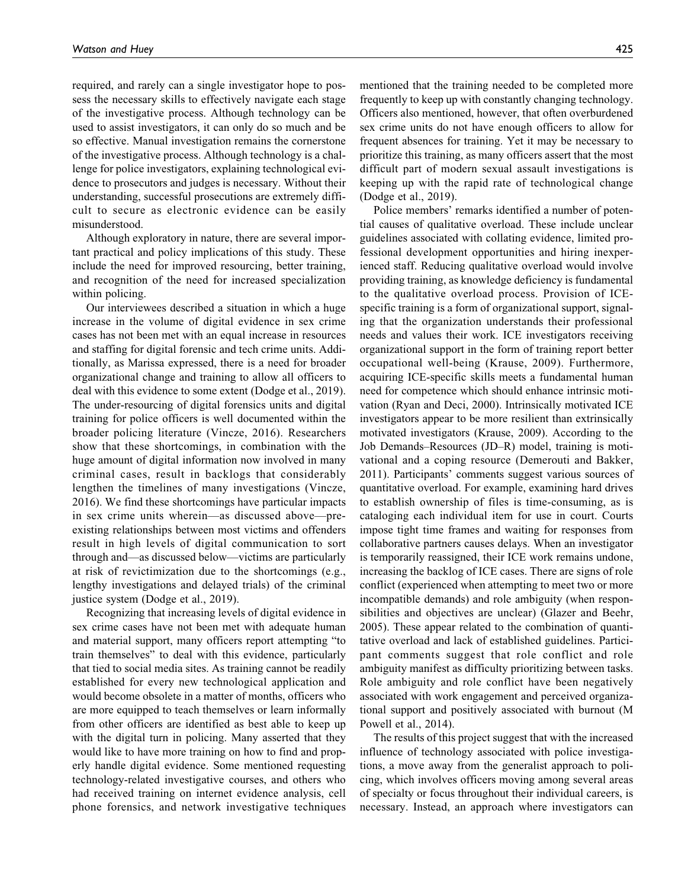required, and rarely can a single investigator hope to possess the necessary skills to effectively navigate each stage of the investigative process. Although technology can be used to assist investigators, it can only do so much and be so effective. Manual investigation remains the cornerstone of the investigative process. Although technology is a challenge for police investigators, explaining technological evidence to prosecutors and judges is necessary. Without their understanding, successful prosecutions are extremely difficult to secure as electronic evidence can be easily misunderstood.

Although exploratory in nature, there are several important practical and policy implications of this study. These include the need for improved resourcing, better training, and recognition of the need for increased specialization within policing.

Our interviewees described a situation in which a huge increase in the volume of digital evidence in sex crime cases has not been met with an equal increase in resources and staffing for digital forensic and tech crime units. Additionally, as Marissa expressed, there is a need for broader organizational change and training to allow all officers to deal with this evidence to some extent (Dodge et al., 2019). The under-resourcing of digital forensics units and digital training for police officers is well documented within the broader policing literature (Vincze, 2016). Researchers show that these shortcomings, in combination with the huge amount of digital information now involved in many criminal cases, result in backlogs that considerably lengthen the timelines of many investigations (Vincze, 2016). We find these shortcomings have particular impacts in sex crime units wherein—as discussed above—preexisting relationships between most victims and offenders result in high levels of digital communication to sort through and—as discussed below—victims are particularly at risk of revictimization due to the shortcomings (e.g., lengthy investigations and delayed trials) of the criminal justice system (Dodge et al., 2019).

Recognizing that increasing levels of digital evidence in sex crime cases have not been met with adequate human and material support, many officers report attempting "to train themselves" to deal with this evidence, particularly that tied to social media sites. As training cannot be readily established for every new technological application and would become obsolete in a matter of months, officers who are more equipped to teach themselves or learn informally from other officers are identified as best able to keep up with the digital turn in policing. Many asserted that they would like to have more training on how to find and properly handle digital evidence. Some mentioned requesting technology-related investigative courses, and others who had received training on internet evidence analysis, cell phone forensics, and network investigative techniques

mentioned that the training needed to be completed more frequently to keep up with constantly changing technology. Officers also mentioned, however, that often overburdened sex crime units do not have enough officers to allow for frequent absences for training. Yet it may be necessary to prioritize this training, as many officers assert that the most difficult part of modern sexual assault investigations is keeping up with the rapid rate of technological change (Dodge et al., 2019).

Police members' remarks identified a number of potential causes of qualitative overload. These include unclear guidelines associated with collating evidence, limited professional development opportunities and hiring inexperienced staff. Reducing qualitative overload would involve providing training, as knowledge deficiency is fundamental to the qualitative overload process. Provision of ICEspecific training is a form of organizational support, signaling that the organization understands their professional needs and values their work. ICE investigators receiving organizational support in the form of training report better occupational well-being (Krause, 2009). Furthermore, acquiring ICE-specific skills meets a fundamental human need for competence which should enhance intrinsic motivation (Ryan and Deci, 2000). Intrinsically motivated ICE investigators appear to be more resilient than extrinsically motivated investigators (Krause, 2009). According to the Job Demands–Resources (JD–R) model, training is motivational and a coping resource (Demerouti and Bakker, 2011). Participants' comments suggest various sources of quantitative overload. For example, examining hard drives to establish ownership of files is time-consuming, as is cataloging each individual item for use in court. Courts impose tight time frames and waiting for responses from collaborative partners causes delays. When an investigator is temporarily reassigned, their ICE work remains undone, increasing the backlog of ICE cases. There are signs of role conflict (experienced when attempting to meet two or more incompatible demands) and role ambiguity (when responsibilities and objectives are unclear) (Glazer and Beehr, 2005). These appear related to the combination of quantitative overload and lack of established guidelines. Participant comments suggest that role conflict and role ambiguity manifest as difficulty prioritizing between tasks. Role ambiguity and role conflict have been negatively associated with work engagement and perceived organizational support and positively associated with burnout (M Powell et al., 2014).

The results of this project suggest that with the increased influence of technology associated with police investigations, a move away from the generalist approach to policing, which involves officers moving among several areas of specialty or focus throughout their individual careers, is necessary. Instead, an approach where investigators can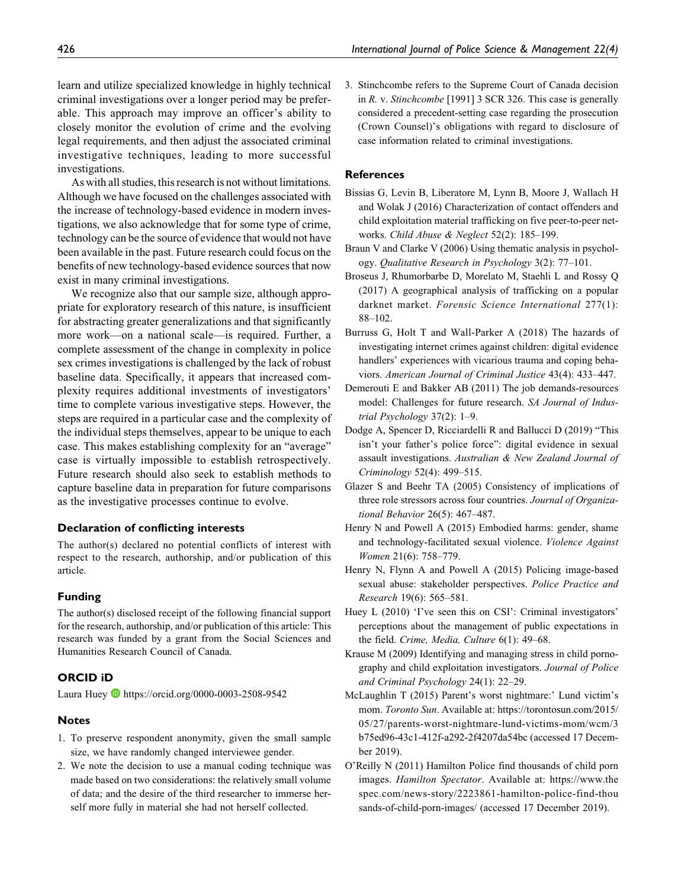learn and utilize specialized knowledge in highly technical criminal investigations over a longer period may be preferable. This approach may improve an officer's ability to closely monitor the evolution of crime and the evolving legal requirements, and then adjust the associated criminal investigative techniques, leading to more successful investigations.

As with all studies, this research is not without limitations. Although we have focused on the challenges associated with the increase of technology-based evidence in modern investigations, we also acknowledge that for some type of crime, technology can be the source of evidence that would not have been available in the past. Future research could focus on the benefits of new technology-based evidence sources that now exist in many criminal investigations.

We recognize also that our sample size, although appropriate for exploratory research of this nature, is insufficient for abstracting greater generalizations and that significantly more work—on a national scale—is required. Further, a complete assessment of the change in complexity in police sex crimes investigations is challenged by the lack of robust baseline data. Specifically, it appears that increased complexity requires additional investments of investigators' time to complete various investigative steps. However, the steps are required in a particular case and the complexity of the individual steps themselves, appear to be unique to each case. This makes establishing complexity for an "average" case is virtually impossible to establish retrospectively. Future research should also seek to establish methods to capture baseline data in preparation for future comparisons as the investigative processes continue to evolve.

#### **Declaration of conflicting interests**

The author(s) declared no potential conflicts of interest with respect to the research, authorship, and/or publication of this article.

#### **Funding**

The author(s) disclosed receipt of the following financial support for the research, authorship, and/or publication of this article: This research was funded by a grant from the Social Sciences and Humanities Research Council of Canada.

## **ORCID iD**

Laura Huey <https://orcid.org/0000-0003-2508-9542>

#### **Notes**

- 1. To preserve respondent anonymity, given the small sample size, we have randomly changed interviewee gender.
- 2. We note the decision to use a manual coding technique was made based on two considerations: the relatively small volume of data; and the desire of the third researcher to immerse herself more fully in material she had not herself collected.

3. Stinchcombe refers to the Supreme Court of Canada decision in R. v. Stinchcombe [1991] 3 SCR 326. This case is generally considered a precedent-setting case regarding the prosecution (Crown Counsel)'s obligations with regard to disclosure of case information related to criminal investigations.

### **References**

- Bissias G, Levin B, Liberatore M, Lynn B, Moore J, Wallach H and Wolak J (2016) Characterization of contact offenders and child exploitation material trafficking on five peer-to-peer networks. Child Abuse & Neglect 52(2): 185–199.
- Braun V and Clarke V (2006) Using thematic analysis in psychology. Qualitative Research in Psychology 3(2): 77–101.
- Broseus J, Rhumorbarbe D, Morelato M, Staehli L and Rossy Q (2017) A geographical analysis of trafficking on a popular darknet market. Forensic Science International 277(1): 88–102.
- Burruss G, Holt T and Wall-Parker A (2018) The hazards of investigating internet crimes against children: digital evidence handlers' experiences with vicarious trauma and coping behaviors. American Journal of Criminal Justice 43(4): 433–447.
- Demerouti E and Bakker AB (2011) The job demands-resources model: Challenges for future research. SA Journal of Industrial Psychology 37(2): 1–9.
- Dodge A, Spencer D, Ricciardelli R and Ballucci D (2019) "This isn't your father's police force": digital evidence in sexual assault investigations. Australian & New Zealand Journal of Criminology 52(4): 499–515.
- Glazer S and Beehr TA (2005) Consistency of implications of three role stressors across four countries. Journal of Organizational Behavior 26(5): 467–487.
- Henry N and Powell A (2015) Embodied harms: gender, shame and technology-facilitated sexual violence. Violence Against Women 21(6): 758–779.
- Henry N, Flynn A and Powell A (2015) Policing image-based sexual abuse: stakeholder perspectives. Police Practice and Research 19(6): 565–581.
- Huey L (2010) 'I've seen this on CSI': Criminal investigators' perceptions about the management of public expectations in the field. Crime, Media, Culture 6(1): 49–68.
- Krause M (2009) Identifying and managing stress in child pornography and child exploitation investigators. Journal of Police and Criminal Psychology 24(1): 22–29.
- McLaughlin T (2015) Parent's worst nightmare:' Lund victim's mom. Toronto Sun. Available at: [https://torontosun.com/2015/](https://torontosun.com/2015/05/27/parents-worst-nightmare-lund-victims-mom/wcm/3b75ed96-43c1-412f-a292-2f4207da54bc) [05/27/parents-worst-nightmare-lund-victims-mom/wcm/3](https://torontosun.com/2015/05/27/parents-worst-nightmare-lund-victims-mom/wcm/3b75ed96-43c1-412f-a292-2f4207da54bc) [b75ed96-43c1-412f-a292-2f4207da54bc](https://torontosun.com/2015/05/27/parents-worst-nightmare-lund-victims-mom/wcm/3b75ed96-43c1-412f-a292-2f4207da54bc) (accessed 17 December 2019).
- O'Reilly N (2011) Hamilton Police find thousands of child porn images. Hamilton Spectator. Available at: [https://www.the](https://www.thespec.com/news-story/2223861-hamilton-police-find-thousands-of-child-porn-images/) [spec.com/news-story/2223861-hamilton-police-find-thou](https://www.thespec.com/news-story/2223861-hamilton-police-find-thousands-of-child-porn-images/) [sands-of-child-porn-images/](https://www.thespec.com/news-story/2223861-hamilton-police-find-thousands-of-child-porn-images/) (accessed 17 December 2019).